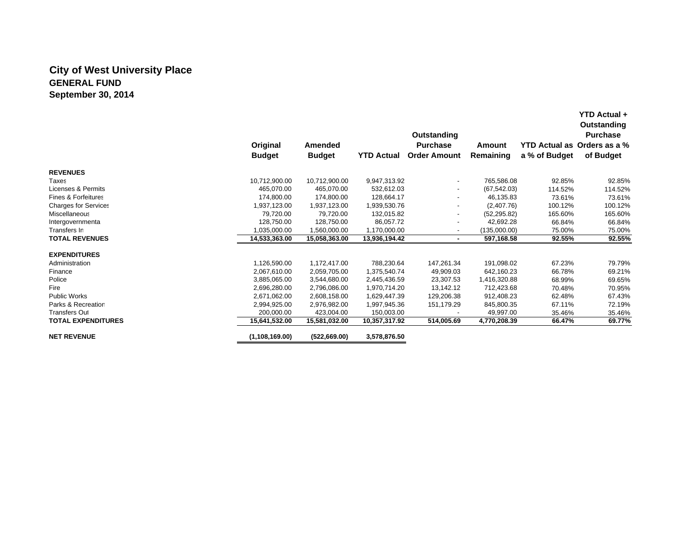# **City of West University Place GENERAL FUNDSeptember 30, 2014**

|                                |                  |               |                   | Outstanding              |              |                      | YTD Actual +<br>Outstanding<br><b>Purchase</b> |
|--------------------------------|------------------|---------------|-------------------|--------------------------|--------------|----------------------|------------------------------------------------|
|                                | Original         | Amended       |                   | <b>Purchase</b>          | Amount       | <b>YTD Actual as</b> | Orders as a %                                  |
|                                | <b>Budget</b>    | <b>Budget</b> | <b>YTD Actual</b> | <b>Order Amount</b>      | Remaining    | a % of Budget        | of Budget                                      |
| <b>REVENUES</b>                |                  |               |                   |                          |              |                      |                                                |
| Taxes                          | 10,712,900.00    | 10,712,900.00 | 9,947,313.92      | $\overline{\phantom{a}}$ | 765,586.08   | 92.85%               | 92.85%                                         |
| Licenses & Permits             | 465.070.00       | 465,070.00    | 532,612.03        | $\overline{\phantom{a}}$ | (67, 542.03) | 114.52%              | 114.52%                                        |
| <b>Fines &amp; Forfeitures</b> | 174,800.00       | 174.800.00    | 128.664.17        |                          | 46.135.83    | 73.61%               | 73.61%                                         |
| <b>Charges for Services</b>    | 1,937,123.00     | 1,937,123.00  | 1,939,530.76      | $\overline{\phantom{a}}$ | (2.407.76)   | 100.12%              | 100.12%                                        |
| Miscellaneous                  | 79,720.00        | 79.720.00     | 132,015.82        | $\overline{\phantom{a}}$ | (52, 295.82) | 165.60%              | 165.60%                                        |
| Intergovernmenta               | 128.750.00       | 128.750.00    | 86.057.72         | $\overline{\phantom{a}}$ | 42.692.28    | 66.84%               | 66.84%                                         |
| Transfers In                   | 1,035,000.00     | 1,560,000.00  | 1,170,000.00      | $\overline{\phantom{a}}$ | (135,000.00) | 75.00%               | 75.00%                                         |
| <b>TOTAL REVENUES</b>          | 14,533,363.00    | 15,058,363.00 | 13,936,194.42     | ٠                        | 597,168.58   | 92.55%               | 92.55%                                         |
| <b>EXPENDITURES</b>            |                  |               |                   |                          |              |                      |                                                |
| Administration                 | 1,126,590.00     | 1,172,417.00  | 788,230.64        | 147,261.34               | 191,098.02   | 67.23%               | 79.79%                                         |
| Finance                        | 2,067,610.00     | 2,059,705.00  | 1,375,540.74      | 49,909.03                | 642,160.23   | 66.78%               | 69.21%                                         |
| Police                         | 3,885,065.00     | 3,544,680.00  | 2,445,436.59      | 23,307.53                | 1,416,320.88 | 68.99%               | 69.65%                                         |
| Fire                           | 2,696,280.00     | 2,796,086.00  | 1,970,714.20      | 13,142.12                | 712,423.68   | 70.48%               | 70.95%                                         |
| Public Works                   | 2,671,062.00     | 2,608,158.00  | 1,629,447.39      | 129,206.38               | 912,408.23   | 62.48%               | 67.43%                                         |
| Parks & Recreation             | 2,994,925.00     | 2,976,982.00  | 1,997,945.36      | 151,179.29               | 845,800.35   | 67.11%               | 72.19%                                         |
| <b>Transfers Out</b>           | 200,000.00       | 423,004.00    | 150,003.00        |                          | 49,997.00    | 35.46%               | 35.46%                                         |
| <b>TOTAL EXPENDITURES</b>      | 15,641,532.00    | 15,581,032.00 | 10,357,317.92     | 514,005.69               | 4,770,208.39 | 66.47%               | 69.77%                                         |
| <b>NET REVENUE</b>             | (1, 108, 169.00) | (522, 669.00) | 3,578,876.50      |                          |              |                      |                                                |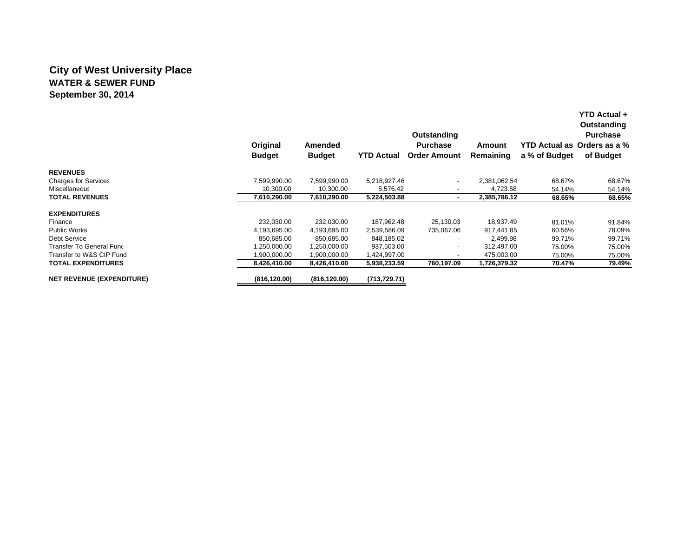### **City of West University Place WATER & SEWER FUNDSeptember 30, 2014**

|                                  | Original<br><b>Budget</b> | Amended<br><b>Budget</b> | <b>YTD Actual</b> | Outstanding<br><b>Purchase</b><br><b>Order Amount</b> | Amount<br>Remaining | YTD Actual as Orders as a %<br>a % of Budget | Outstanding<br><b>Purchase</b><br>of Budget |
|----------------------------------|---------------------------|--------------------------|-------------------|-------------------------------------------------------|---------------------|----------------------------------------------|---------------------------------------------|
| <b>REVENUES</b>                  |                           |                          |                   |                                                       |                     |                                              |                                             |
| <b>Charges for Services</b>      | 7.599.990.00              | 7,599,990.00             | 5,218,927.46      | ٠                                                     | 2,381,062.54        | 68.67%                                       | 68.67%                                      |
| Miscellaneous                    | 10,300.00                 | 10,300.00                | 5,576.42          | ٠                                                     | 4,723.58            | 54.14%                                       | 54.14%                                      |
| <b>TOTAL REVENUES</b>            | 7,610,290.00              | 7,610,290.00             | 5,224,503.88      | ۰                                                     | 2,385,786.12        | 68.65%                                       | 68.65%                                      |
| <b>EXPENDITURES</b>              |                           |                          |                   |                                                       |                     |                                              |                                             |
| Finance                          | 232,030.00                | 232,030.00               | 187,962.48        | 25,130.03                                             | 18,937.49           | 81.01%                                       | 91.84%                                      |
| <b>Public Works</b>              | 4,193,695.00              | 4,193,695.00             | 2,539,586.09      | 735,067.06                                            | 917.441.85          | 60.56%                                       | 78.09%                                      |
| Debt Service                     | 850.685.00                | 850.685.00               | 848,185.02        |                                                       | 2.499.98            | 99.71%                                       | 99.71%                                      |
| <b>Transfer To General Func</b>  | 1,250,000.00              | 1,250,000.00             | 937,503.00        | ٠                                                     | 312,497.00          | 75.00%                                       | 75.00%                                      |
| Transfer to W&S CIP Fund         | 1,900,000.00              | 1,900,000.00             | 1,424,997.00      | $\overline{\phantom{a}}$                              | 475,003.00          | 75.00%                                       | 75.00%                                      |
| <b>TOTAL EXPENDITURES</b>        | 8,426,410.00              | 8,426,410.00             | 5,938,233.59      | 760,197.09                                            | 1,726,379.32        | 70.47%                                       | 79.49%                                      |
| <b>NET REVENUE (EXPENDITURE)</b> | (816, 120.00)             | (816, 120.00)            | (713, 729.71)     |                                                       |                     |                                              |                                             |

**YTD Actual +**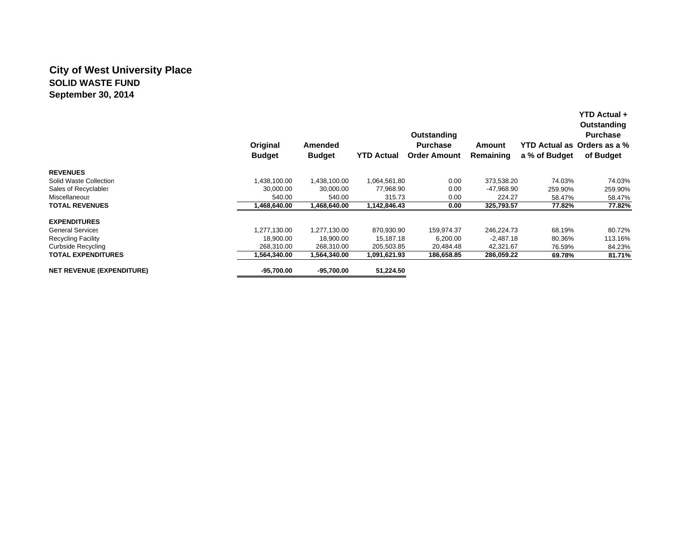# **City of West University Place SOLID WASTE FUNDSeptember 30, 2014**

|                                  | Original<br><b>Budget</b> | Amended<br><b>Budget</b> | <b>YTD Actual</b> | Outstanding<br><b>Purchase</b><br><b>Order Amount</b> | Amount<br>Remaining | a % of Budget | YTD Actual +<br>Outstanding<br><b>Purchase</b><br>YTD Actual as Orders as a %<br>of Budget |
|----------------------------------|---------------------------|--------------------------|-------------------|-------------------------------------------------------|---------------------|---------------|--------------------------------------------------------------------------------------------|
| <b>REVENUES</b>                  |                           |                          |                   |                                                       |                     |               |                                                                                            |
| Solid Waste Collection           | 1,438,100.00              | 1,438,100.00             | 1,064,561.80      | 0.00                                                  | 373,538.20          | 74.03%        | 74.03%                                                                                     |
| Sales of Recyclables             | 30,000.00                 | 30,000.00                | 77,968.90         | 0.00                                                  | -47,968.90          | 259.90%       | 259.90%                                                                                    |
| Miscellaneous                    | 540.00                    | 540.00                   | 315.73            | 0.00                                                  | 224.27              | 58.47%        | 58.47%                                                                                     |
| <b>TOTAL REVENUES</b>            | 1,468,640.00              | 1,468,640.00             | 1,142,846.43      | 0.00                                                  | 325,793.57          | 77.82%        | 77.82%                                                                                     |
| <b>EXPENDITURES</b>              |                           |                          |                   |                                                       |                     |               |                                                                                            |
| <b>General Services</b>          | 1,277,130.00              | 1,277,130.00             | 870,930.90        | 159,974.37                                            | 246,224.73          | 68.19%        | 80.72%                                                                                     |
| <b>Recycling Facility</b>        | 18,900.00                 | 18,900.00                | 15,187.18         | 6,200.00                                              | $-2,487.18$         | 80.36%        | 113.16%                                                                                    |
| Curbside Recycling               | 268,310.00                | 268,310.00               | 205,503.85        | 20,484.48                                             | 42,321.67           | 76.59%        | 84.23%                                                                                     |
| <b>TOTAL EXPENDITURES</b>        | 1,564,340.00              | 1,564,340.00             | 1,091,621.93      | 186,658.85                                            | 286,059.22          | 69.78%        | 81.71%                                                                                     |
| <b>NET REVENUE (EXPENDITURE)</b> | $-95.700.00$              | $-95,700.00$             | 51,224.50         |                                                       |                     |               |                                                                                            |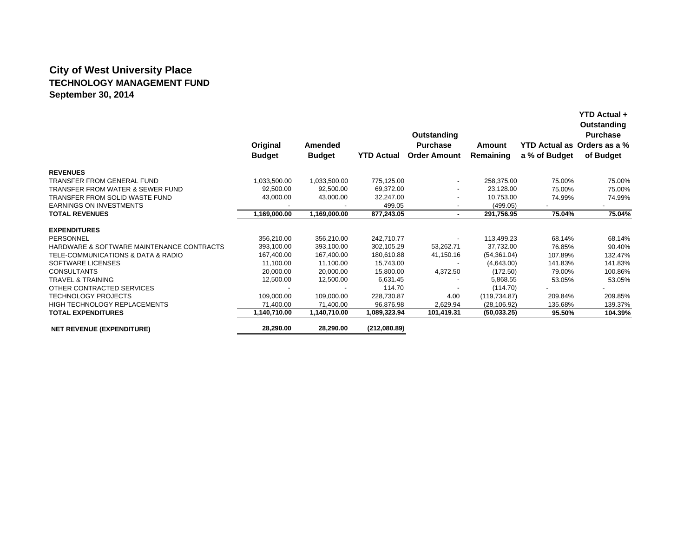# **City of West University Place TECHNOLOGY MANAGEMENT FUNDSeptember 30, 2014**

|                                           |               |               |                   | Outstanding              | Amount        |               | Outstanding<br><b>Purchase</b><br>YTD Actual as Orders as a % |
|-------------------------------------------|---------------|---------------|-------------------|--------------------------|---------------|---------------|---------------------------------------------------------------|
|                                           | Original      | Amended       |                   | <b>Purchase</b>          |               |               |                                                               |
|                                           | <b>Budget</b> | <b>Budget</b> | <b>YTD Actual</b> | <b>Order Amount</b>      | Remaining     | a % of Budget | of Budget                                                     |
| <b>REVENUES</b>                           |               |               |                   |                          |               |               |                                                               |
| TRANSFER FROM GENERAL FUND                | 1,033,500.00  | 1,033,500.00  | 775,125.00        | $\overline{\phantom{a}}$ | 258,375.00    | 75.00%        | 75.00%                                                        |
| TRANSFER FROM WATER & SEWER FUND          | 92,500.00     | 92,500.00     | 69,372.00         |                          | 23,128.00     | 75.00%        | 75.00%                                                        |
| TRANSFER FROM SOLID WASTE FUND            | 43,000.00     | 43,000.00     | 32,247.00         |                          | 10,753.00     | 74.99%        | 74.99%                                                        |
| <b>EARNINGS ON INVESTMENTS</b>            |               |               | 499.05            |                          | (499.05)      |               |                                                               |
| <b>TOTAL REVENUES</b>                     | 1,169,000.00  | 1,169,000.00  | 877,243.05        | ٠                        | 291,756.95    | 75.04%        | 75.04%                                                        |
| <b>EXPENDITURES</b>                       |               |               |                   |                          |               |               |                                                               |
| PERSONNEL                                 | 356,210.00    | 356,210.00    | 242,710.77        |                          | 113,499.23    | 68.14%        | 68.14%                                                        |
| HARDWARE & SOFTWARE MAINTENANCE CONTRACTS | 393,100.00    | 393,100.00    | 302,105.29        | 53,262.71                | 37,732.00     | 76.85%        | 90.40%                                                        |
| TELE-COMMUNICATIONS & DATA & RADIO        | 167,400.00    | 167.400.00    | 180,610.88        | 41,150.16                | (54, 361.04)  | 107.89%       | 132.47%                                                       |
| SOFTWARE LICENSES                         | 11,100.00     | 11,100.00     | 15,743.00         |                          | (4,643.00)    | 141.83%       | 141.83%                                                       |
| <b>CONSULTANTS</b>                        | 20,000.00     | 20,000.00     | 15,800.00         | 4,372.50                 | (172.50)      | 79.00%        | 100.86%                                                       |
| <b>TRAVEL &amp; TRAINING</b>              | 12,500.00     | 12,500.00     | 6,631.45          |                          | 5,868.55      | 53.05%        | 53.05%                                                        |
| OTHER CONTRACTED SERVICES                 |               |               | 114.70            |                          | (114.70)      |               |                                                               |
| <b>TECHNOLOGY PROJECTS</b>                | 109,000.00    | 109,000.00    | 228,730.87        | 4.00                     | (119, 734.87) | 209.84%       | 209.85%                                                       |
| <b>HIGH TECHNOLOGY REPLACEMENTS</b>       | 71,400.00     | 71,400.00     | 96,876.98         | 2,629.94                 | (28, 106.92)  | 135.68%       | 139.37%                                                       |
| <b>TOTAL EXPENDITURES</b>                 | 1,140,710.00  | 1,140,710.00  | 1,089,323.94      | 101,419.31               | (50,033.25)   | 95.50%        | 104.39%                                                       |
| <b>NET REVENUE (EXPENDITURE)</b>          | 28,290.00     | 28,290.00     | (212,080.89)      |                          |               |               |                                                               |

**YTD Actual +**